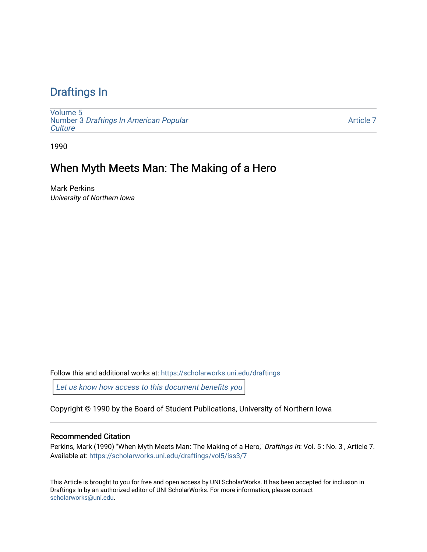# [Draftings In](https://scholarworks.uni.edu/draftings)

[Volume 5](https://scholarworks.uni.edu/draftings/vol5) Number 3 [Draftings In American Popular](https://scholarworks.uni.edu/draftings/vol5/iss3) **Culture** 

[Article 7](https://scholarworks.uni.edu/draftings/vol5/iss3/7) 

1990

## When Myth Meets Man: The Making of a Hero

Mark Perkins University of Northern Iowa

Follow this and additional works at: [https://scholarworks.uni.edu/draftings](https://scholarworks.uni.edu/draftings?utm_source=scholarworks.uni.edu%2Fdraftings%2Fvol5%2Fiss3%2F7&utm_medium=PDF&utm_campaign=PDFCoverPages) 

[Let us know how access to this document benefits you](https://scholarworks.uni.edu/feedback_form.html) 

Copyright © 1990 by the Board of Student Publications, University of Northern Iowa

### Recommended Citation

Perkins, Mark (1990) "When Myth Meets Man: The Making of a Hero," Draftings In: Vol. 5: No. 3, Article 7. Available at: [https://scholarworks.uni.edu/draftings/vol5/iss3/7](https://scholarworks.uni.edu/draftings/vol5/iss3/7?utm_source=scholarworks.uni.edu%2Fdraftings%2Fvol5%2Fiss3%2F7&utm_medium=PDF&utm_campaign=PDFCoverPages)

This Article is brought to you for free and open access by UNI ScholarWorks. It has been accepted for inclusion in Draftings In by an authorized editor of UNI ScholarWorks. For more information, please contact [scholarworks@uni.edu](mailto:scholarworks@uni.edu).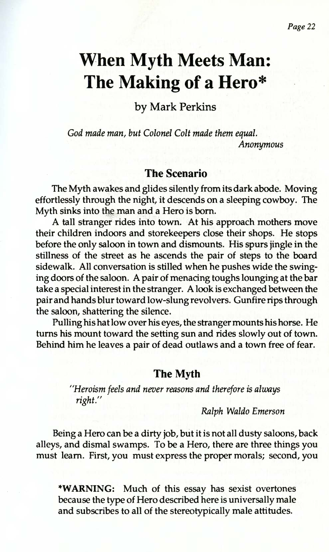# **When Myth Meets Man: The Making of a Hero\***

by Mark Perkins

*God made man, but Colonel Colt made them equal. Anonymous* 

#### **The Scenario**

The Myth awakes and glides silently from its dark abode. Moving effortlessly through the night, it descends on a sleeping cowboy. The Myth sinks into the man and a Hero is born.

A tall stranger rides into town. At his approach mothers move their children indoors and storekeepers close their shops. He stops before the only saloon in town and dismounts. His spurs jingle in the stillness of the street as he ascends the pair of steps to the board sidewalk. All conversation is stilled when he pushes wide the swinging doors of the saloon. A pair of menacing toughs lounging at the bar take a special interest in the stranger. A look is exchanged between the pair and hands blur toward low-slung revolvers. Gunfire rips through the saloon, shattering the silence.

Pulling his hat low over his eyes, the stranger mounts his horse. He turns his mount toward the setting sun and rides slowly out of town. Behind him he leaves a pair of dead outlaws and a town free of fear.

#### **The Myth**

*"Heroism feels and never reasons and therefore* is *always right."* 

*Ralph Waldo Emerson* 

Being a Hero can be a dirty job, but it is not all dusty saloons, back alleys, and dismal swamps. To be a Hero, there are three things you must learn. First, you must express the proper morals; second, you

**\*WARNING:** Much of this essay has sexist overtones because the type of Hero described here is universally male and subscribes to all of the stereotypically male attitudes.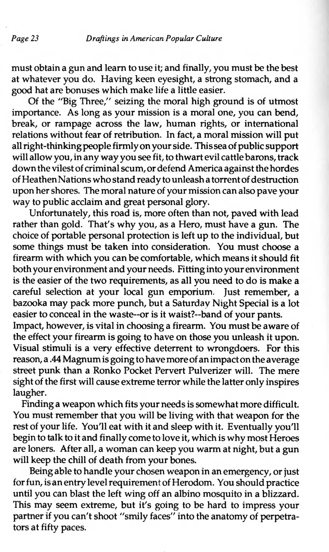must obtain a gun and learn to use it; and finally, you must be the best at whatever you do. Having keen eyesight, a strong stomach, and <sup>a</sup> good hat are bonuses which make life a little easier.

Of the "Big Three," seizing the moral high ground is of utmost importance. As long as your mission is a moral one, you can bend, break, or rampage across the law, human rights, or international relations without fear of retribution. In fact, a moral mission will pu<sup>t</sup> all right-thinking people firmly on your side. This sea of public suppor<sup>t</sup> will allow you, in any way you see fit, to thwart evil cattle barons, track down the vilest of criminal scum, or defend America against the hordes of Heathen Nations who stand ready to unleash a torrent of destruction upon her shores. The moral nature of your mission can also pave your way to public acclaim and great personal glory.

Unfortunately, this road is, more often than not, paved with lead rather than gold. That's why you, as a Hero, must have a gun. The choice of portable personal protection is left up to the individual, but some things must be taken into consideration. You must choose a firearm with which you can be comfortable, which means it should fit both your environment and your needs. Fitting into your environment is the easier of the two requirements, as all you need to do is make <sup>a</sup> careful selection at your local gun emporium. Just remember, a bazooka may pack more punch, but a Saturday Night Special is a lot easier to conceal in the waste--or is it waist?--band of your pants.

Impact, however, is vital in choosing a firearm. You must be aware of the effect your firearm is going to have on those you unleash it upon. Visual stimuli is a very effective deterrent to wrongdoers. For this reason, a .44 Magnum is going to have more of an impact on the average street punk than a Ronko Pocket Pervert Pulverizer will. The mere sight of the first will cause extreme terror while the latter only inspires laugher.

Finding a weapon which fits your needs is somewhat more difficult. You must remember that you will be living with that weapon for the rest of your life. You'll eat with it and sleep with it. Eventually you'll begin to talk to it and finally come to love it, which is why most Heroes are loners. After all, a woman can keep you warm at night, but a gun will keep the chill of death from your bones.

Being able to handle your chosen weapon in an emergency, or just for fun, is an entry level requirement of Herodom. You should practice until you can blast the left wing off an albino mosquito in a blizzard. This may seem extreme, but it's going to be hard to impress your partner if you can't shoot "smily faces" into the anatomy of perpetrators at fifty paces.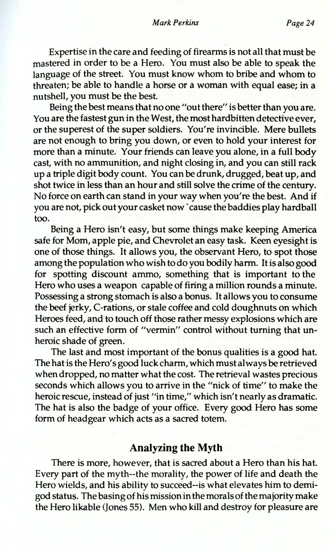Expertise in the care and feeding of firearms is not all that must be mastered in order to be a Hero. You must also be able to speak the language of the street. You must know whom to bribe and whom to threaten; be able to handle a horse or a woman with equal ease; in a nutshell, you must be the best.

Being the best means that no one "out there" is better than you are. You are the fastest gun in the West, the most hardbitten detective ever, or the superest of the super soldiers. You're invincible. Mere bullets are not enough to bring you down, or even to hold your interest for more than a minute. Your friends can leave you alone, in a full body cast, with no ammunition, and night closing in, and you can still rack up a triple digit body count. You can be drunk, drugged, beat up, and shot twice in less than an hour and still solve the crime of the century. No force on earth can stand in your way when you're the best. And if you are not, pick out your casket now 'cause the baddies play hardball too.

Being a Hero isn't easy, but some things make keeping America safe for Mom, apple pie, and Chevrolet an easy task. Keen eyesight is one of those things. It allows you, the observant Hero, to spot those among the population who wish to do you bodily harm. It is also good for spotting discount ammo, something that is important to the Hero who uses a weapon capable of firing a million rounds a minute. Possessing a strong stomach is also a bonus. It allows you to consume the beef jerky, C-rations, or stale coffee and cold doughnuts on which Heroes feed, and to touch off those rather messy explosions which are such an effective form of "vermin" control without turning that unheroic shade of green.

The last and most important of the bonus qualities is a good hat. The hat is the Hero's good luck charm, which must always be retrieved when dropped, no matter what the cost. The retrieval wastes precious seconds which allows you to arrive in the "nick of time" to make the heroic rescue, instead of just "in time," which isn't nearly as dramatic. The hat is also the badge of your office. Every good Hero has some form of headgear which acts as a sacred totem.

## **Analyzing the Myth**

There is more, however, that is sacred about a Hero than his hat. Every part of the myth--the morality, the power of life and death the Hero wields, and his ability to succeed--is what elevates him to demigod status. The basing of his mission in the morals of the majority make the Hero likable (Jones 55). Men who kill and destroy for pleasure are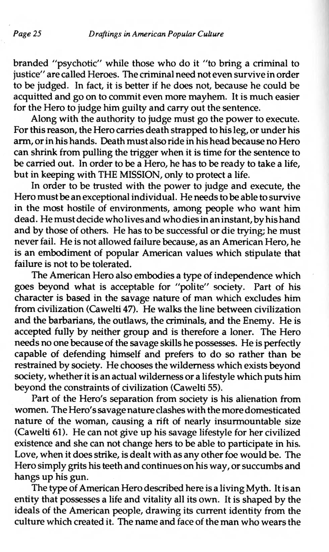branded "psychotic" while those who do it "to bring a criminal to justice" are called Heroes. The criminal need not even survive in order to be judged. In fact, it is better if he does not, because he could be acquitted and go on to commit even more mayhem. It is much easier for the Hero to judge him guilty and carry out the sentence.

Along with the authority to judge must go the power to execute. For this reason, the Hero carries death strapped to his leg, or under his arm, or in his hands. Death must also ride in his head because no Hero can shrink from pulling the trigger when it is time for the sentence to be carried out. In order to be a Hero, he has to be ready to take a life, but in keeping with THE MISSION, only to protect a life.

In order to be trusted with the power to judge and execute, the Hero must be an exceptional individual. He needs to be able to survive in the most hostile of environments, among people who want him dead. He must decide who lives and who dies in an instant, by his hand and by those of others. He has to be successful or die trying; he must never fail. He is not allowed failure because, as an American Hero, he is an embodiment of popular American values which stipulate that failure is not to be tolerated.

The American Hero also embodies a type of independence which goes beyond what is acceptable for "polite" society. Part of his character is based in the savage nature of man which excludes him from civilization (Cawelti 47). He walks the line between civilization and the barbarians, the outlaws, the criminals, and the Enemy. He is accepted fully by neither group and is therefore a loner. The Hero needs no one because of the savage skills he possesses. He is perfectly capable of defending himself and prefers to do so rather than be restrained by society. He chooses the wilderness which exists beyond society, whether it is an actual wilderness or a lifestyle which puts him beyond the constraints of civilization (Cawelti 55).

Part of the Hero's separation from society is his alienation from women. The Hero's savage nature clashes with the more domesticated nature of the woman, causing a rift of nearly insurmountable size (Cawelti 61). He can not give up his savage lifestyle for her civilized existence and she can not change hers to be able to participate in his. Love, when it does strike, is dealt with as any other foe would be. The Hero simply grits his teeth and continues on his way, or succumbs and hangs up his gun.

The type of American Hero described here is a living Myth. It is an entity that possesses a life and vitality all its own. It is shaped by the ideals of the American people, drawing its current identity from the culture which created it. The name and face of the man who wears the